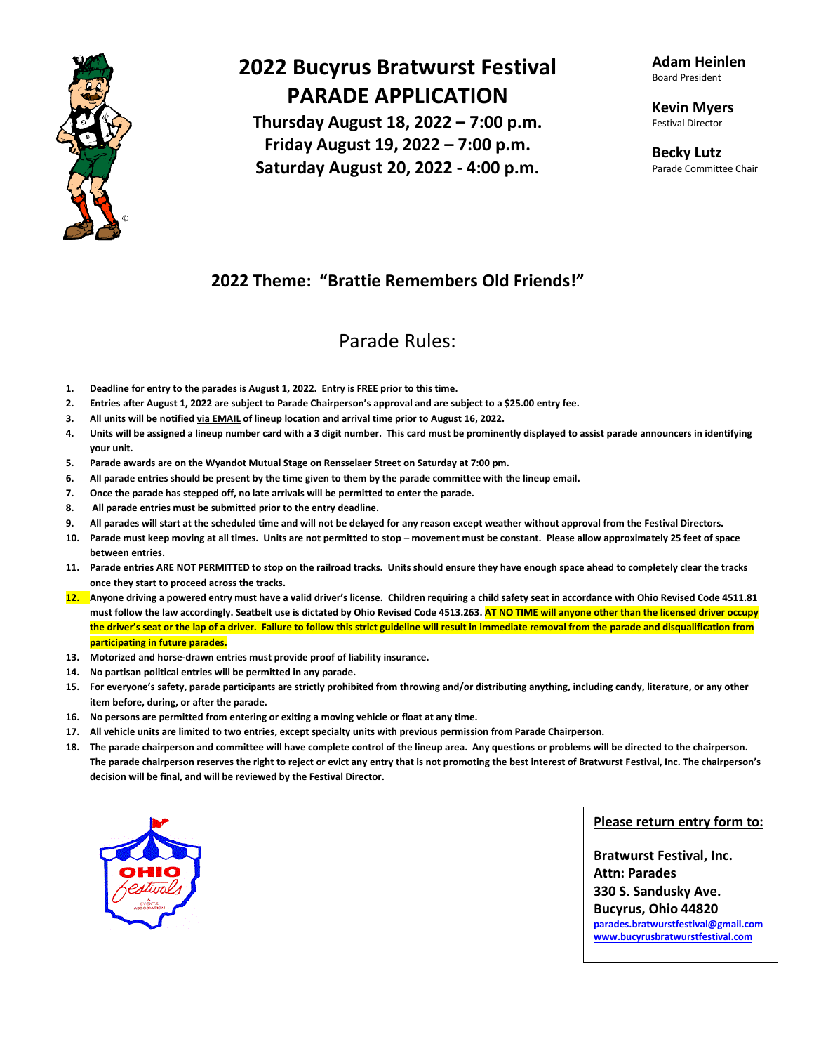

# **2022 Bucyrus Bratwurst Festival PARADE APPLICATION**

**Thursday August 18, 2022 – 7:00 p.m. Friday August 19, 2022 – 7:00 p.m. Saturday August 20, 2022 - 4:00 p.m.**

**Adam Heinlen** Board President

**Kevin Myers** Festival Director

**Becky Lutz** Parade Committee Chair

### **2022 Theme: "Brattie Remembers Old Friends!"**

### Parade Rules:

- **1. Deadline for entry to the parades is August 1, 2022. Entry is FREE prior to this time.**
- **2. Entries after August 1, 2022 are subject to Parade Chairperson's approval and are subject to a \$25.00 entry fee.**
- **3. All units will be notified via EMAIL of lineup location and arrival time prior to August 16, 2022.**
- **4. Units will be assigned a lineup number card with a 3 digit number. This card must be prominently displayed to assist parade announcers in identifying your unit.**
- **5. Parade awards are on the Wyandot Mutual Stage on Rensselaer Street on Saturday at 7:00 pm.**
- **6. All parade entries should be present by the time given to them by the parade committee with the lineup email.**
- **7. Once the parade has stepped off, no late arrivals will be permitted to enter the parade.**
- **8. All parade entries must be submitted prior to the entry deadline.**
- **9. All parades will start at the scheduled time and will not be delayed for any reason except weather without approval from the Festival Directors.**
- **10. Parade must keep moving at all times. Units are not permitted to stop – movement must be constant. Please allow approximately 25 feet of space between entries.**
- **11. Parade entries ARE NOT PERMITTED to stop on the railroad tracks. Units should ensure they have enough space ahead to completely clear the tracks once they start to proceed across the tracks.**
- **12. Anyone driving a powered entry must have a valid driver's license. Children requiring a child safety seat in accordance with Ohio Revised Code 4511.81 must follow the law accordingly. Seatbelt use is dictated by Ohio Revised Code 4513.263. AT NO TIME will anyone other than the licensed driver occupy**  the driver's seat or the lap of a driver. Failure to follow this strict guideline will result in immediate removal from the parade and disqualification from **participating in future parades.**
- **13. Motorized and horse-drawn entries must provide proof of liability insurance.**
- **14. No partisan political entries will be permitted in any parade.**
- **15. For everyone's safety, parade participants are strictly prohibited from throwing and/or distributing anything, including candy, literature, or any other item before, during, or after the parade.**
- **16. No persons are permitted from entering or exiting a moving vehicle or float at any time.**
- **17. All vehicle units are limited to two entries, except specialty units with previous permission from Parade Chairperson.**
- **18. The parade chairperson and committee will have complete control of the lineup area. Any questions or problems will be directed to the chairperson. The parade chairperson reserves the right to reject or evict any entry that is not promoting the best interest of Bratwurst Festival, Inc. The chairperson's decision will be final, and will be reviewed by the Festival Director.**



#### **Please return entry form to:**

**Bratwurst Festival, Inc. Attn: Parades 330 S. Sandusky Ave. Bucyrus, Ohio 44820 [parades.bratwurstfestival@gmail.com](mailto:parades.bratwurstfestival@gmail.com) [www.bucyrusbratwurstfestival.com](http://www.bucyrusbratwurstfestival.com/)**